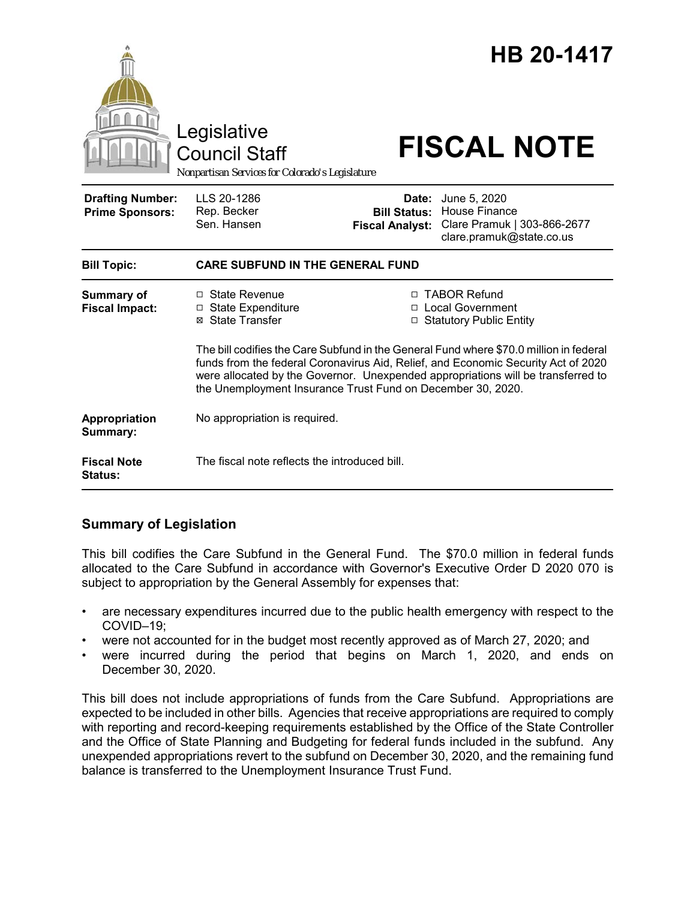|                                                   | Legislative<br><b>Council Staff</b><br>Nonpartisan Services for Colorado's Legislature                                                                                                                                                                                                                                         |                                                        | <b>HB 20-1417</b><br><b>FISCAL NOTE</b>                                                  |
|---------------------------------------------------|--------------------------------------------------------------------------------------------------------------------------------------------------------------------------------------------------------------------------------------------------------------------------------------------------------------------------------|--------------------------------------------------------|------------------------------------------------------------------------------------------|
| <b>Drafting Number:</b><br><b>Prime Sponsors:</b> | LLS 20-1286<br>Rep. Becker<br>Sen. Hansen                                                                                                                                                                                                                                                                                      | Date:<br><b>Bill Status:</b><br><b>Fiscal Analyst:</b> | June 5, 2020<br>House Finance<br>Clare Pramuk   303-866-2677<br>clare.pramuk@state.co.us |
| <b>Bill Topic:</b>                                | <b>CARE SUBFUND IN THE GENERAL FUND</b>                                                                                                                                                                                                                                                                                        |                                                        |                                                                                          |
| Summary of<br><b>Fiscal Impact:</b>               | □ State Revenue<br>$\Box$ State Expenditure<br>⊠ State Transfer                                                                                                                                                                                                                                                                |                                                        | □ TABOR Refund<br>□ Local Government<br>□ Statutory Public Entity                        |
|                                                   | The bill codifies the Care Subfund in the General Fund where \$70.0 million in federal<br>funds from the federal Coronavirus Aid, Relief, and Economic Security Act of 2020<br>were allocated by the Governor. Unexpended appropriations will be transferred to<br>the Unemployment Insurance Trust Fund on December 30, 2020. |                                                        |                                                                                          |
| Appropriation<br>Summary:                         | No appropriation is required.                                                                                                                                                                                                                                                                                                  |                                                        |                                                                                          |
| <b>Fiscal Note</b><br>Status:                     | The fiscal note reflects the introduced bill.                                                                                                                                                                                                                                                                                  |                                                        |                                                                                          |

## **Summary of Legislation**

This bill codifies the Care Subfund in the General Fund. The \$70.0 million in federal funds allocated to the Care Subfund in accordance with Governor's Executive Order D 2020 070 is subject to appropriation by the General Assembly for expenses that:

- are necessary expenditures incurred due to the public health emergency with respect to the COVID–19;
- were not accounted for in the budget most recently approved as of March 27, 2020; and
- were incurred during the period that begins on March 1, 2020, and ends on December 30, 2020.

This bill does not include appropriations of funds from the Care Subfund. Appropriations are expected to be included in other bills. Agencies that receive appropriations are required to comply with reporting and record-keeping requirements established by the Office of the State Controller and the Office of State Planning and Budgeting for federal funds included in the subfund. Any unexpended appropriations revert to the subfund on December 30, 2020, and the remaining fund balance is transferred to the Unemployment Insurance Trust Fund.